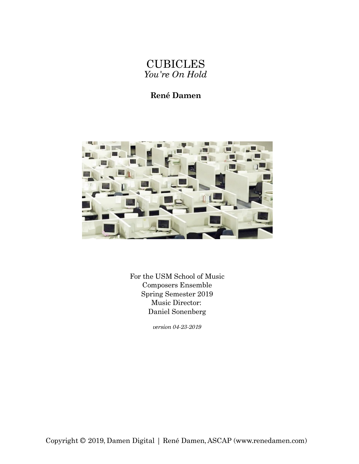### CUBICLES *You're On Hold*

#### **René Damen**



For the USM School of Music Composers Ensemble Spring Semester 2019 Music Director: Daniel Sonenberg

*version 04-23-2019*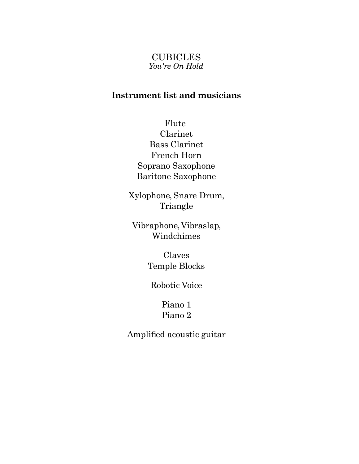#### CUBICLES *You're On Hold*

## **Instrument list and musicians**

Flute Clarinet Bass Clarinet French Horn Soprano Saxophone Baritone Saxophone

Xylophone, Snare Drum, Triangle

Vibraphone, Vibraslap, Windchimes

> Claves Temple Blocks

Robotic Voice

Piano 1 Piano 2

Amplified acoustic guitar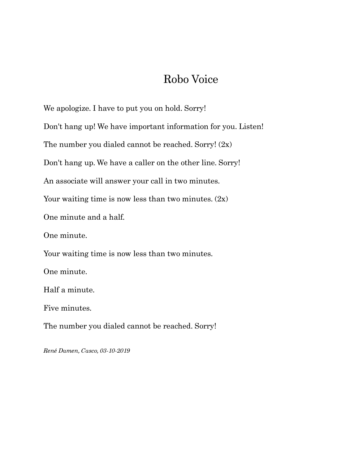# Robo Voice

We apologize. I have to put you on hold. Sorry! Don't hang up! We have important information for you. Listen! The number you dialed cannot be reached. Sorry!  $(2x)$ Don't hang up. We have a caller on the other line. Sorry! An associate will answer your call in two minutes. Your waiting time is now less than two minutes.  $(2x)$ One minute and a half. One minute. Your waiting time is now less than two minutes. One minute. Half a minute. Five minutes. The number you dialed cannot be reached. Sorry!

*René Damen, Casco, 03-10-2019*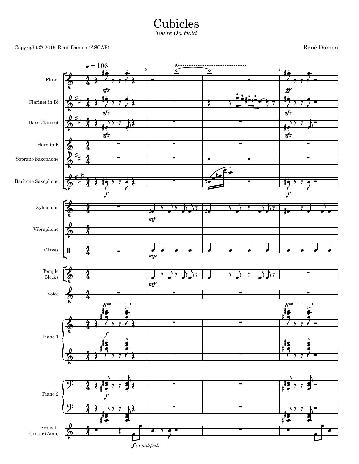#### Cubicles *You're On Hold*

#### Copyright © 2019, René Damen (ASCAP) René Damen (ASCAP)

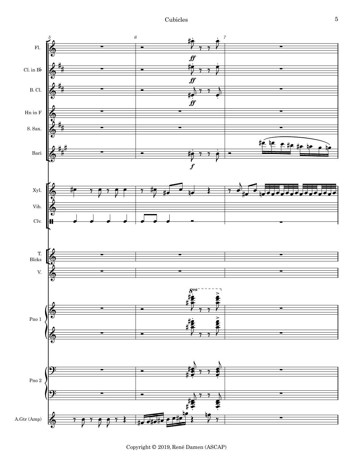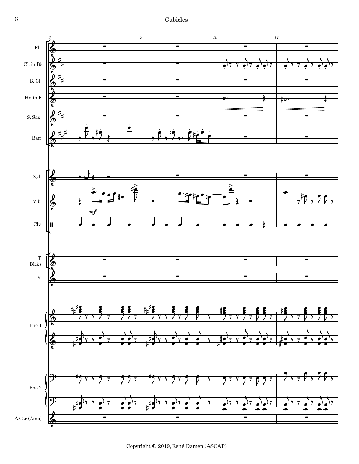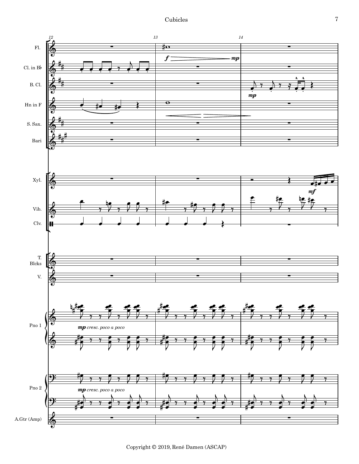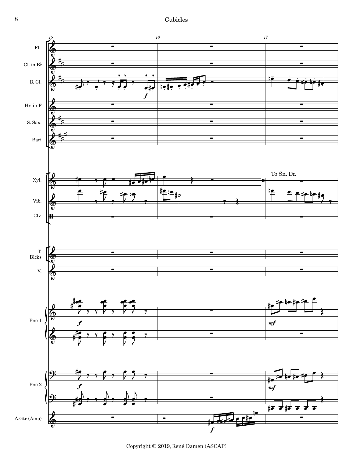

Copyright © 2019, René Damen (ASCAP)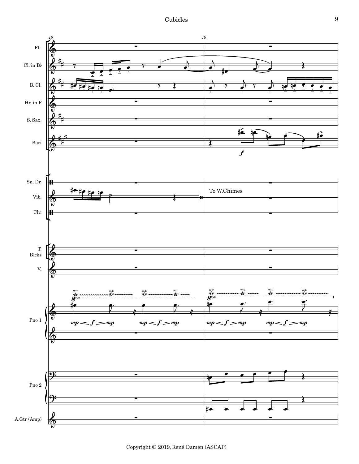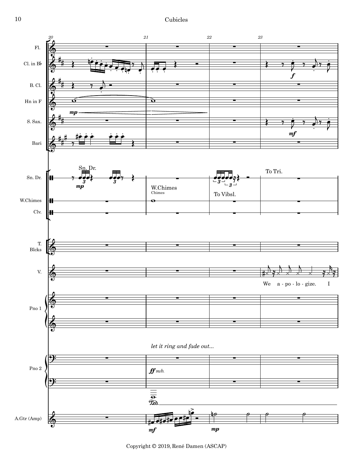

Copyright © 2019, René Damen (ASCAP)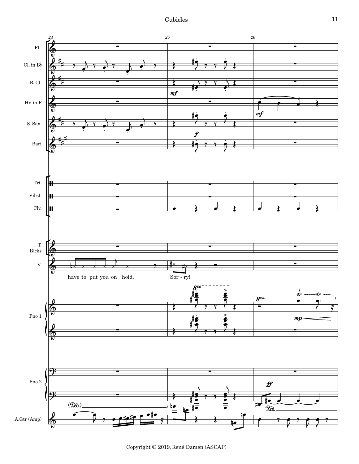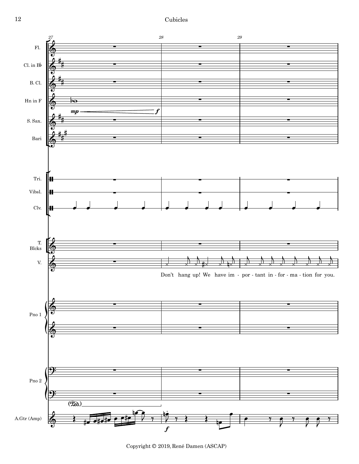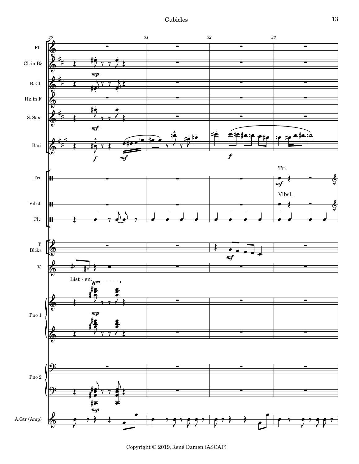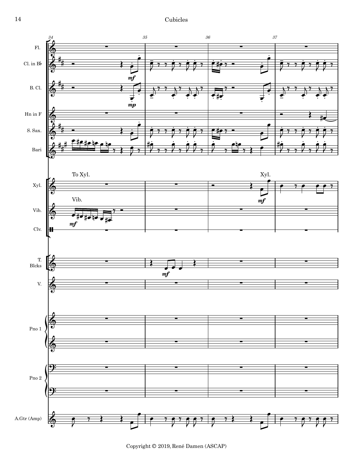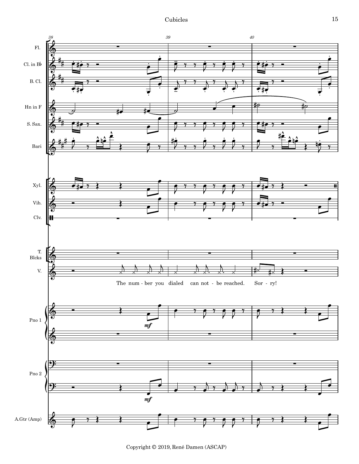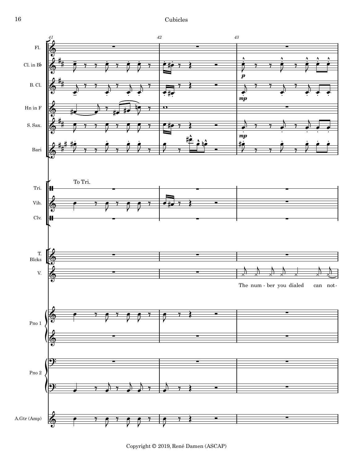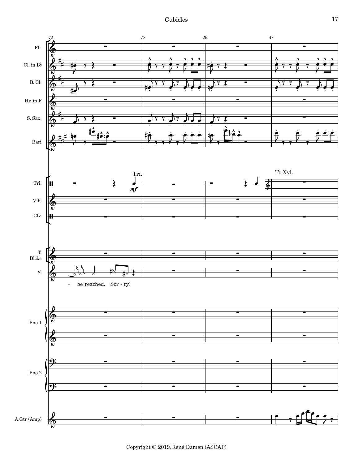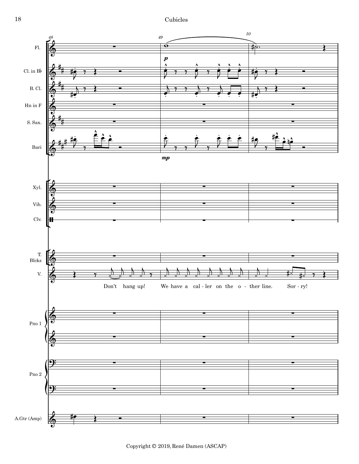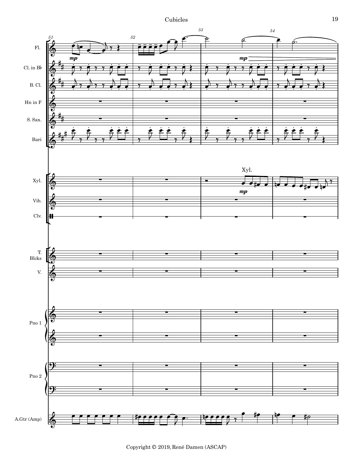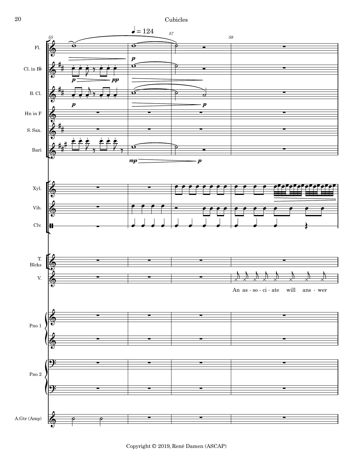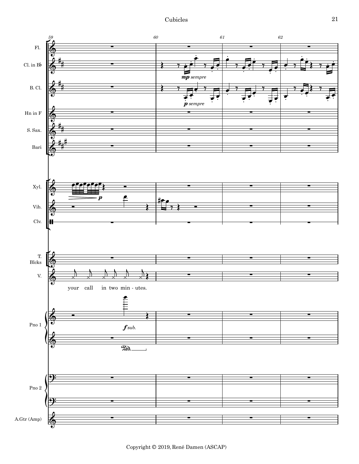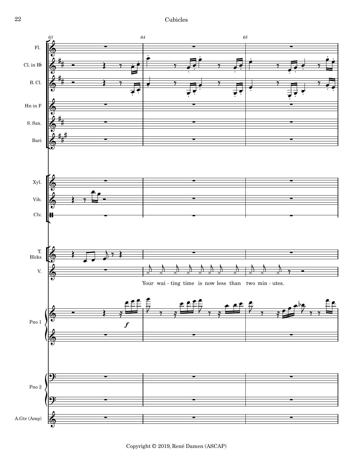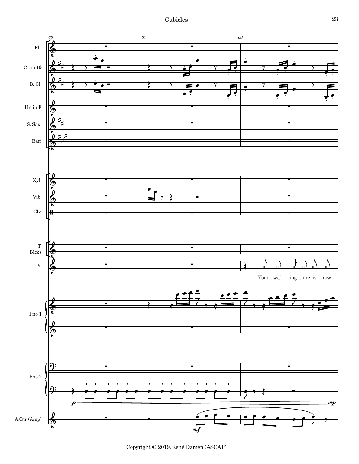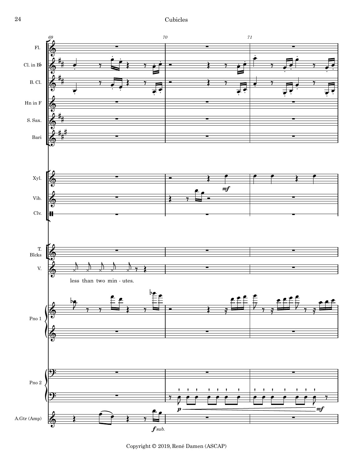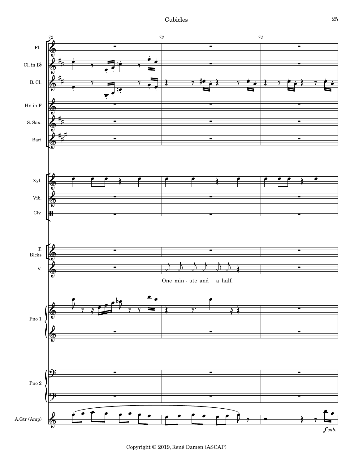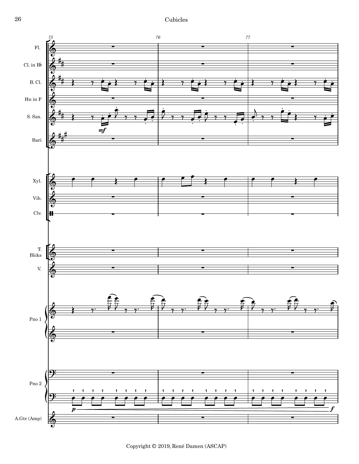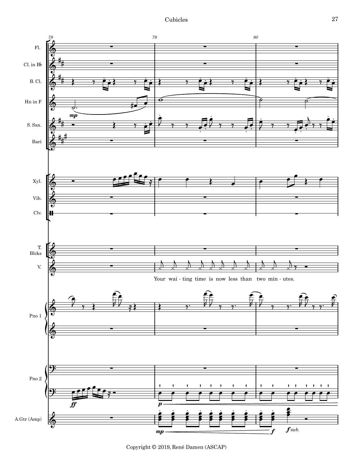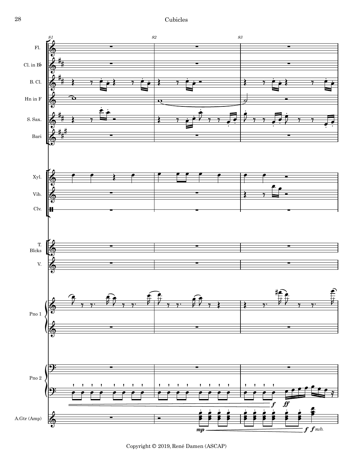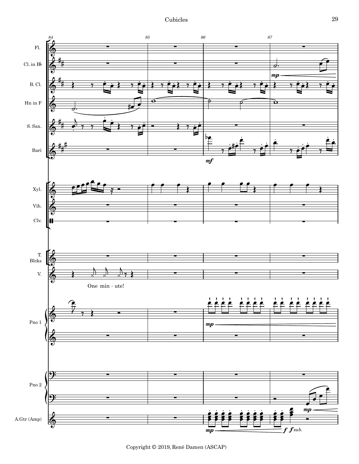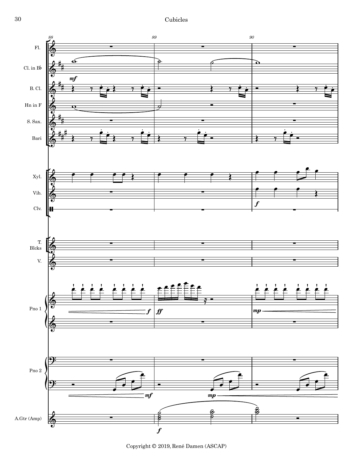

Copyright © 2019, René Damen (ASCAP)

3 0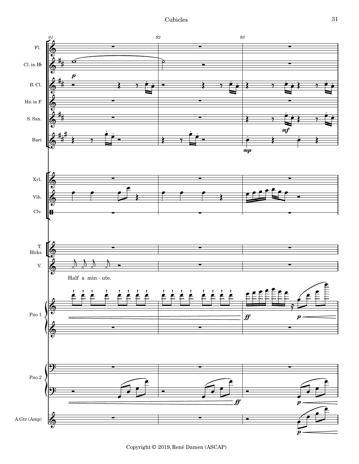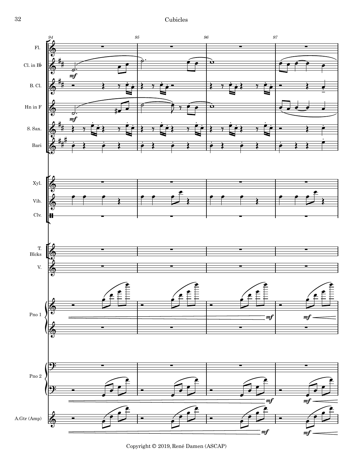

Copyright © 2019, René Damen (ASCAP)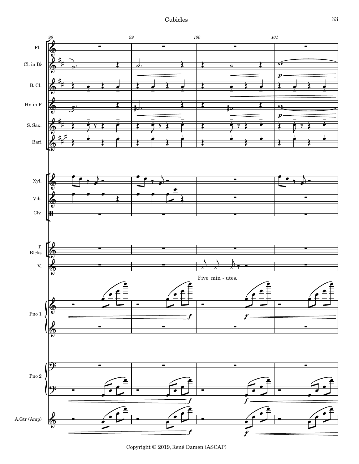